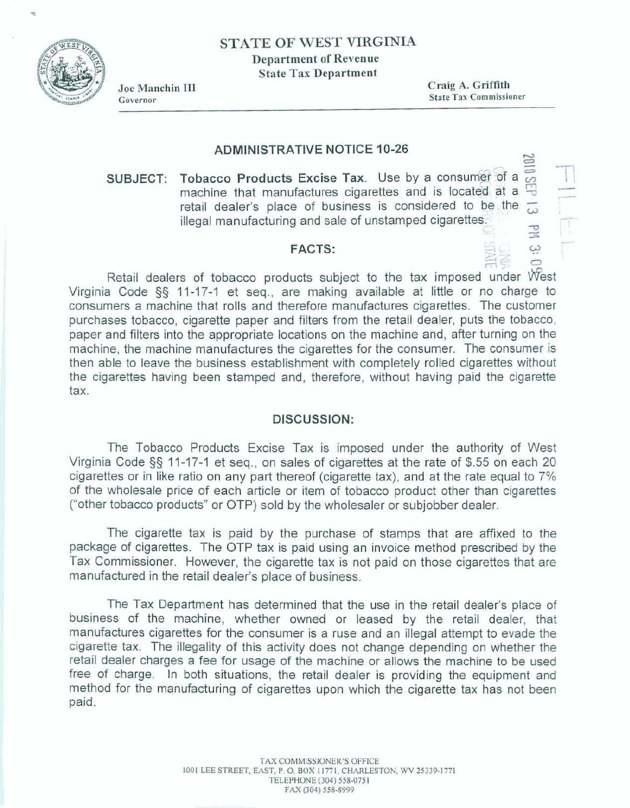# **STATE OF WEST VIRGINIA Department of Revenue State Tax Department**



**Joe Maachio I11 Craig A. Griffith State Tax Commissioner** 

#### **ADMINISTRATIVE NOTICE 1 0-26**

 $3010$  GEb SUBJECT: Tobacco Products Excise Tax. Use by a consumer of a machine that manufactures cigarettes and is located at a **retail dealer's place of business is considered to be. the**  $\frac{1}{\omega}$  **illegal manufacturing and sale of unstamped cigarettes.** 

# FACTS:  $\begin{bmatrix} 0 & 0 & 0 \\ 0 & 0 & 0 \\ 0 & 0 & 0 \end{bmatrix}$

n27 **<sup>Q</sup> Retail dealers of tobacco products subject to the tax imposed under \West Virginia Code §§ 11-17-1 et seq., are making available at little or no charge to consumers** a **machine** that **rolls and** therefore **manufactures cigarettes. The customer purchases tobacco, cigarette paper and filters** from **the retail dealer, puts the** tobacco, **paper and filters into the appropriate locations on the machine and, after turning on the**  machine, the machine **manufactures the cigarettes for the consumer. The consumer is then able to leave the business establishment with completely rolled cigarettes without**  the **cigarettes having been stamped and, therefore, without having paid the cigarette tax.** 

#### **DISCUSSION:**

The Tobacco **Products Excise Tax is imposed under the authority of West Virginia Code 53 1** 1-17-1 **et seq., on sales** of **cigarettes at the rate of \$55 on each 20 cigarettes or in !ike ratio on any part** thereof **(cigarette** tax), **and at the rate equal to 7% of the wholesale price of each article or item of tobacco product other than cigarettes ("other tobacco products" or** OTP) **sold by the wholesaler or subjobber dealer.** 

**The cigarette tax is paid by** the **purchase of stamps that are affixed to** the package of cigarettes. The OTP tax is paid using an invoice method prescribed by the **Tax Commissioner.** However, **the cigarette tax is not paid on those cigarettes that are manufactured** in **the retail dealer's place** of **business.** 

**The Tax Department has determined that the use in** the **retail dealer's ptace of business of the machine, whether owned or leased by the** retail **dealer, that manufactures cigarettes for the consumer is** a **ruse and an** illegal **attempt to evade the cigarette tax. The illegality of this activity does not change depending on whether the retail dealer charges a fee for usage of the machine** *or* **allows the** machine to **be used**  free **of charge. In both situations, the retail dealer is providing the equipment and method for the manufacturing of** cigarettes upon **which the cigarette tax has not been paid.**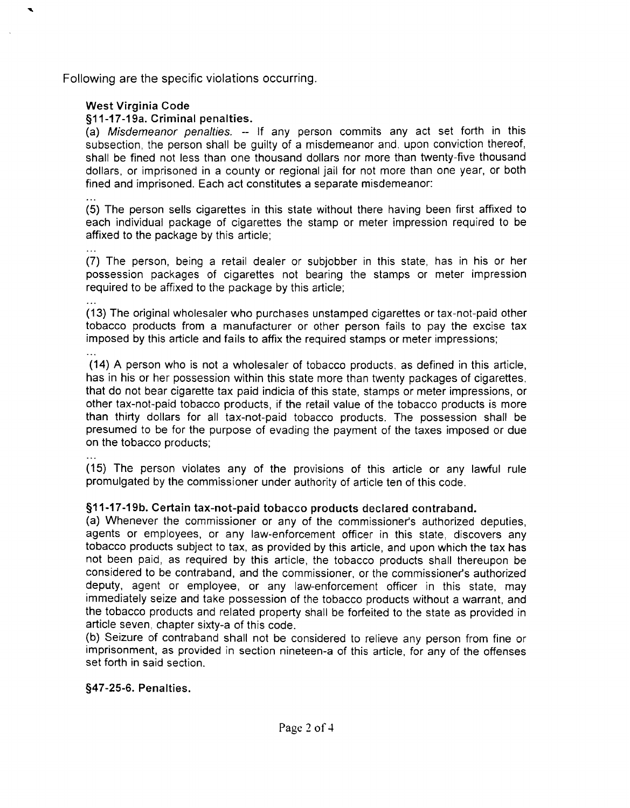Following are the specific violations occurring.

### West Virginia Code

§11-17-19a. Criminal penalties.

(a) Misdemeanor penalties. -- If any person commits any act set forth in this subsection, the person shall be guilty of a misdemeanor and, upon conviction thereof, shall be fined not less than one thousand dollars nor more than twenty-five thousand dollars, or imprisoned in a county or regional jail for not more than one year, or both fined and imprisoned. Each act constitutes a separate misdemeanor:

... (5) The person sells cigarettes in this state without there having been first affixed to each individual package of cigarettes the stamp or meter impression required to be affixed to the package by this article;

... (7) The person, being a retail dealer or subjobber in this state, has in his or her possession packages of cigarettes not bearing the stamps or meter impression required to be affixed to the package by this article;

... (13) The original wholesaler who purchases unstamped cigarettes or tax-not-paid other tobacco products from a manufacturer or other person fails to pay the excise tax imposed by this article and fails to affix the required stamps or meter impressions; . . .

(14) A person who is not a wholesaler of tobacco products, as defined in this article, has in his or her possession within this state more than twenty packages of cigarettes. that do not bear cigarette tax paid indicia of this state, stamps or meter impressions, or other tax-not-paid tobacco products, if the retail value of the tobacco products is more than thirty dollars for all tax-not-paid tobacco products. The possession shall be presumed to be for the purpose of evading the payment of the taxes imposed or due on the tobacco products;

(15) The person violates any of the provisions of this article or any lawful rule promulgated by the commissioner under authority of article ten of this code.

## \$1 1-17-19b. Certain tax-not-paid tobacco products declared contraband.

(a) Whenever the commissioner or any of the commissioner's authorized deputies, agents or employees, or any law-enforcement officer in this state, discovers any tobacco products subject to tax, as provided by this article, and upon which the tax has not been paid, as required by this article, the tobacco products shall thereupon be considered to be contraband, and the commissioner, or the commissioner's authorized deputy, agent or employee, or any law-enforcement officer in this state, may immediately seize and take possession of the tobacco products without a warrant, and the tobacco products and related property shall be forfeited to the state as provided in article seven, chapter sixty-a of this code.

(b) Seizure of contraband shall not be considered to relieve any person from fine or imprisonment, as provided in section nineteen-a of this article, for any of the offenses set forth in said section.

#### \$47-25-6. Penalties.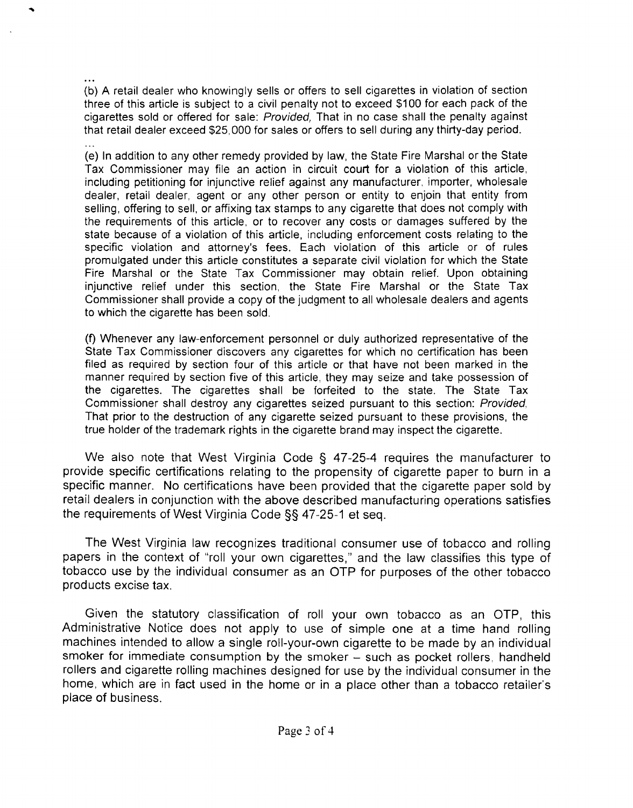... (b) A retail dealer who knowingly sells or offers to sell cigarettes in violation of section three of this article is subject to a civil penalty not to exceed \$100 for each pack of the cigarettes sold or offered for sale: Provided, That in no case shall the penalty against that retail dealer exceed \$25,000 for sales or offers to sell during any thirty-day period.

(e) In addition to any other remedy provided by law, the State Fire Marshal or the State Tax Commissioner may file an action in circuit court for a violation of this article. including petitioning for injunctive relief against any manufacturer. importer, wholesale dealer, retail dealer, agent or any other person or entity to enjoin that entity from selling, offering to sell, or affixing tax stamps to any cigarette that does not comply with the requirements of this article, or to recover any costs or damages suffered by the state because of a violation of this article, including enforcement costs relating to the specific violation and attorney's fees. Each violation of this article or of rules promulgated under this article constitutes a separate civil violation for which the State Fire Marshal or the State Tax Commissioner may obtain relief. Upon obtaining injunctive relief under this section, the State Fire Marshal or the State Tax Commissioner shall provide a copy of the judgment to all wholesale dealers and agents to which the cigarette has been sold.

(f) Whenever any law-enforcement personnel or duly authorized representative of the State Tax Commissioner discovers any cigarettes for which no certification has been filed as required by section four of this article or that have not been marked in the manner required by section five of this article, they may seize and take possession of the cigarettes. The cigarettes shall be forfeited to the state. The State Tax Commissioner shall destroy any cigarettes seized pursuant to this section: Provided, That prior to the destruction of any cigarette seized pursuant to these provisions, the true holder of the trademark rights in the cigarette brand may inspect the cigarette.

We also note that West Virginia Code § 47-25-4 requires the manufacturer to provide specific certifications relating to the propensity of cigarette paper to burn in a specific manner. No certifications have been provided that the cigarette paper sold by retail dealers in conjunction with the above described manufacturing operations satisfies the requirements of West Virginia Code §§ 47-25-1 et seg.

The West Virginia law recognizes traditional consumer use of tobacco and rolling papers in the context of "roll your own cigarettes," and the law classifies this type of tobacco use by the individual consumer as an OTP for purposes of the other tobacco products excise tax.

Given the statutory classification of roll your own tobacco as an OTP, this Administrative Notice does not apply to use of simple one at a time hand rolling machines intended to allow a single roll-your-own cigarette to be made by an individual smoker for immediate consumption by the smoker - such as pocket rollers, handheld rollers and cigarette rolling machines designed for use by the individual consumer in the home, which are in fact used in the home or in a place other than a tobacco retailer's place of business.